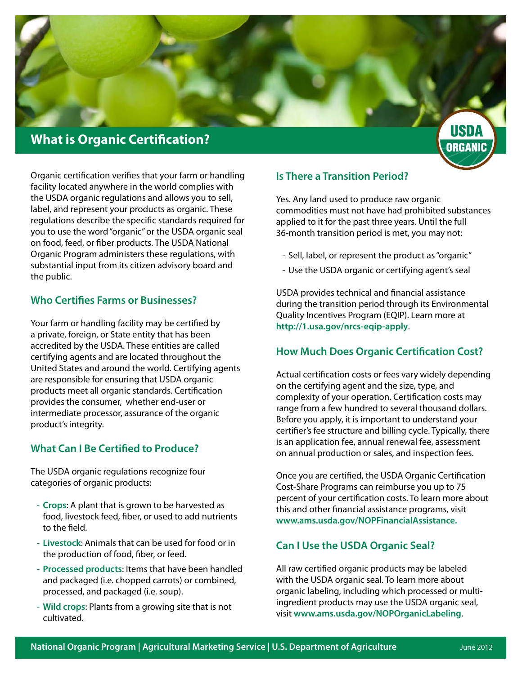

# **What is Organic Certification?**

Organic certification verifies that your farm or handling facility located anywhere in the world complies with the USDA organic regulations and allows you to sell, label, and represent your products as organic. These regulations describe the specific standards required for you to use the word "organic" or the USDA organic seal on food, feed, or fiber products. The USDA National Organic Program administers these regulations, with substantial input from its citizen advisory board and the public.

#### **Who Certifies Farms or Businesses?**

Your farm or handling facility may be certified by a private, foreign, or State entity that has been accredited by the USDA. These entities are called certifying agents and are located throughout the United States and around the world. Certifying agents are responsible for ensuring that USDA organic products meet all organic standards. Certification provides the consumer, whether end-user or intermediate processor, assurance of the organic product's integrity.

## **What Can I Be Certified to Produce?**

The USDA organic regulations recognize four categories of organic products:

- **Crops**: A plant that is grown to be harvested as food, livestock feed, fiber, or used to add nutrients to the field.
- **Livestock**: Animals that can be used for food or in the production of food, fiber, or feed.
- **Processed products**: Items that have been handled and packaged (i.e. chopped carrots) or combined, processed, and packaged (i.e. soup).
- **Wild crops**: Plants from a growing site that is not cultivated.

#### **Is There a Transition Period?**

Yes. Any land used to produce raw organic commodities must not have had prohibited substances applied to it for the past three years. Until the full 36-month transition period is met, you may not:

ORGANIC

- Sell, label, or represent the product as "organic"
- Use the USDA organic or certifying agent's seal

USDA provides technical and financial assistance during the transition period through its Environmental Quality Incentives Program (EQIP). Learn more at **http://1.usa.gov/nrcs-eqip-apply**.

#### **How Much Does Organic Certification Cost?**

Actual certification costs or fees vary widely depending on the certifying agent and the size, type, and complexity of your operation. Certification costs may range from a few hundred to several thousand dollars. Before you apply, it is important to understand your certifier's fee structure and billing cycle. Typically, there is an application fee, annual renewal fee, assessment on annual production or sales, and inspection fees.

Once you are certified, the USDA Organic Certification Cost-Share Programs can reimburse you up to 75 percent of your certification costs. To learn more about this and other financial assistance programs, visit **www.ams.usda.gov/NOPFinancialAssistance.**

## **Can I Use the USDA Organic Seal?**

All raw certified organic products may be labeled with the USDA organic seal. To learn more about organic labeling, including which processed or multiingredient products may use the USDA organic seal, visit **www.ams.usda.gov/NOPOrganicLabeling**.